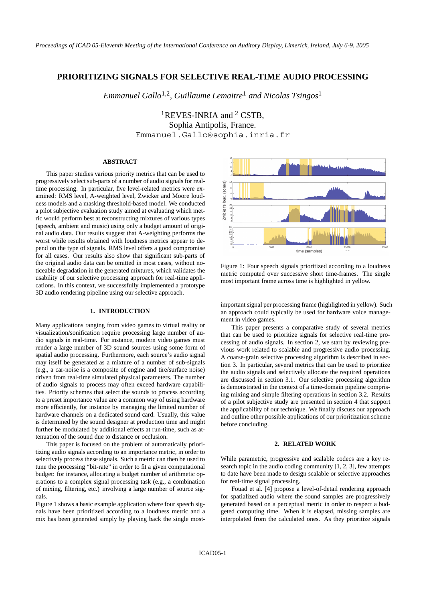# **PRIORITIZING SIGNALS FOR SELECTIVE REAL-TIME AUDIO PROCESSING**

*Emmanuel Gallo*1*,*2*, Guillaume Lemaitre*<sup>1</sup> *and Nicolas Tsingos*<sup>1</sup>

<sup>1</sup>REVES-INRIA and <sup>2</sup> CSTB, Sophia Antipolis, France. Emmanuel.Gallo@sophia.inria.fr

### **ABSTRACT**

This paper studies various priority metrics that can be used to progressively select sub-parts of a number of audio signals for realtime processing. In particular, five level-related metrics were examined: RMS level, A-weighted level, Zwicker and Moore loudness models and a masking threshold-based model. We conducted a pilot subjective evaluation study aimed at evaluating which metric would perform best at reconstructing mixtures of various types (speech, ambient and music) using only a budget amount of original audio data. Our results suggest that A-weighting performs the worst while results obtained with loudness metrics appear to depend on the type of signals. RMS level offers a good compromise for all cases. Our results also show that significant sub-parts of the original audio data can be omitted in most cases, without noticeable degradation in the generated mixtures, which validates the usability of our selective processing approach for real-time applications. In this context, we successfully implemented a prototype 3D audio rendering pipeline using our selective approach.

#### **1. INTRODUCTION**

Many applications ranging from video games to virtual reality or visualization/sonification require processing large number of audio signals in real-time. For instance, modern video games must render a large number of 3D sound sources using some form of spatial audio processing. Furthermore, each source's audio signal may itself be generated as a mixture of a number of sub-signals (e.g., a car-noise is a composite of engine and tire/surface noise) driven from real-time simulated physical parameters. The number of audio signals to process may often exceed hardware capabilities. Priority schemes that select the sounds to process according to a preset importance value are a common way of using hardware more efficiently, for instance by managing the limited number of hardware channels on a dedicated sound card. Usually, this value is determined by the sound designer at production time and might further be modulated by additional effects at run-time, such as attenuation of the sound due to distance or occlusion.

This paper is focused on the problem of automatically prioritizing audio signals according to an importance metric, in order to selectively process these signals. Such a metric can then be used to tune the processing "bit-rate" in order to fit a given computational budget: for instance, allocating a budget number of arithmetic operations to a complex signal processing task (e.g., a combination of mixing, filtering, etc.) involving a large number of source signals.

Figure 1 shows a basic example application where four speech signals have been prioritized according to a loudness metric and a mix has been generated simply by playing back the single most-



Figure 1: Four speech signals prioritized according to a loudness metric computed over successive short time-frames. The single most important frame across time is highlighted in yellow.

important signal per processing frame (highlighted in yellow). Such an approach could typically be used for hardware voice management in video games.

This paper presents a comparative study of several metrics that can be used to prioritize signals for selective real-time processing of audio signals. In section 2, we start by reviewing previous work related to scalable and progressive audio processing. A coarse-grain selective processing algorithm is described in section 3. In particular, several metrics that can be used to prioritize the audio signals and selectively allocate the required operations are discussed in section 3.1. Our selective processing algorithm is demonstrated in the context of a time-domain pipeline comprising mixing and simple filtering operations in section 3.2. Results of a pilot subjective study are presented in section 4 that support the applicability of our technique. We finally discuss our approach and outline other possible applications of our prioritization scheme before concluding.

### **2. RELATED WORK**

While parametric, progressive and scalable codecs are a key research topic in the audio coding community [1, 2, 3], few attempts to date have been made to design scalable or selective approaches for real-time signal processing.

Fouad et al. [4] propose a level-of-detail rendering approach for spatialized audio where the sound samples are progressively generated based on a perceptual metric in order to respect a budgeted computing time. When it is elapsed, missing samples are interpolated from the calculated ones. As they prioritize signals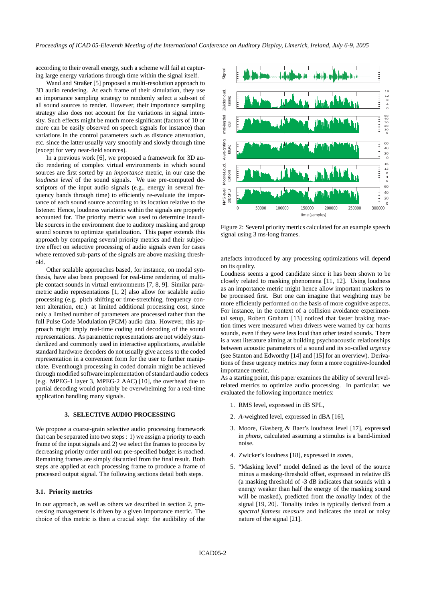according to their overall energy, such a scheme will fail at capturing large energy variations through time within the signal itself.

Wand and Straßer [5] proposed a multi-resolution approach to 3D audio rendering. At each frame of their simulation, they use an importance sampling strategy to randomly select a sub-set of all sound sources to render. However, their importance sampling strategy also does not account for the variations in signal intensity. Such effects might be much more significant (factors of 10 or more can be easily observed on speech signals for instance) than variations in the control parameters such as distance attenuation, etc. since the latter usually vary smoothly and slowly through time (except for very near-field sources).

In a previous work [6], we proposed a framework for 3D audio rendering of complex virtual environments in which sound sources are first sorted by an *importance* metric, in our case the *loudness level* of the sound signals. We use pre-computed descriptors of the input audio signals (e.g., energy in several frequency bands through time) to efficiently re-evaluate the importance of each sound source according to its location relative to the listener. Hence, loudness variations within the signals are properly accounted for. The priority metric was used to determine inaudible sources in the environment due to auditory masking and group sound sources to optimize spatialization. This paper extends this approach by comparing several priority metrics and their subjective effect on selective processing of audio signals even for cases where removed sub-parts of the signals are above masking threshold.

Other scalable approaches based, for instance, on modal synthesis, have also been proposed for real-time rendering of multiple contact sounds in virtual environments [7, 8, 9]. Similar parametric audio representations [1, 2] also allow for scalable audio processing (e.g. pitch shifting or time-stretching, frequency content alteration, etc.) at limited additional processing cost, since only a limited number of parameters are processed rather than the full Pulse Code Modulation (PCM) audio data. However, this approach might imply real-time coding and decoding of the sound representations. As parametric representations are not widely standardized and commonly used in interactive applications, available standard hardware decoders do not usually give access to the coded representation in a convenient form for the user to further manipulate. Eventhough processing in coded domain might be achieved through modified software implementation of standard audio codecs (e.g. MPEG-1 layer 3, MPEG-2 AAC) [10], the overhead due to partial decoding would probably be overwhelming for a real-time application handling many signals.

### **3. SELECTIVE AUDIO PROCESSING**

We propose a coarse-grain selective audio processing framework that can be separated into two steps : 1) we assign a priority to each frame of the input signals and 2) we select the frames to process by decreasing priority order until our pre-specified budget is reached. Remaining frames are simply discarded from the final result. Both steps are applied at each processing frame to produce a frame of processed output signal. The following sections detail both steps.

#### **3.1. Priority metrics**

In our approach, as well as others we described in section 2, processing management is driven by a given importance metric. The choice of this metric is then a crucial step: the audibility of the



Figure 2: Several priority metrics calculated for an example speech signal using 3 ms-long frames.

artefacts introduced by any processing optimizations will depend on its quality.

Loudness seems a good candidate since it has been shown to be closely related to masking phenomena [11, 12]. Using loudness as an importance metric might hence allow important maskers to be processed first. But one can imagine that weighting may be more efficiently performed on the basis of more cognitive aspects. For instance, in the context of a collision avoidance experimental setup, Robert Graham [13] noticed that faster braking reaction times were measured when drivers were warned by car horns sounds, even if they were less loud than other tested sounds. There is a vast literature aiming at building psychoacoustic relationships between acoustic parameters of a sound and its so-called *urgency* (see Stanton and Edworthy [14] and [15] for an overview). Derivations of these urgency metrics may form a more cognitive-founded importance metric.

As a starting point, this paper examines the ability of several levelrelated metrics to optimize audio processing. In particular, we evaluated the following importance metrics:

- 1. RMS level, expressed in dB SPL,
- 2. *A*-weighted level, expressed in dBA [16],
- 3. Moore, Glasberg & Baer's loudness level [17], expressed in *phons*, calculated assuming a stimulus is a band-limited noise.
- 4. Zwicker's loudness [18], expressed in *sones*,
- 5. "Masking level" model defined as the level of the source minus a masking-threshold offset, expressed in relative dB (a masking threshold of -3 dB indicates that sounds with a energy weaker than half the energy of the masking sound will be masked), predicted from the *tonality* index of the signal [19, 20]. Tonality index is typically derived from a *spectral flatness measure* and indicates the tonal or noisy nature of the signal [21].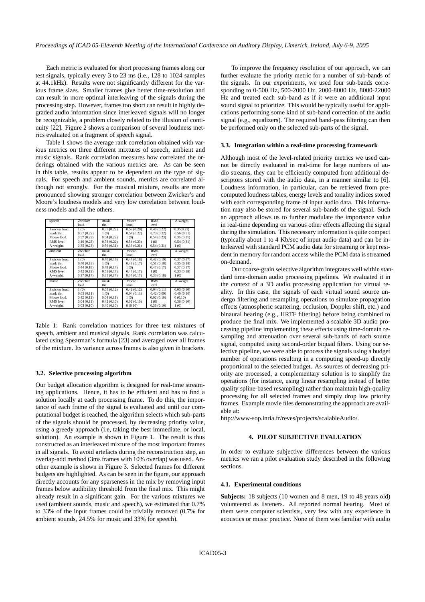Each metric is evaluated for short processing frames along our test signals, typically every 3 to 23 ms (i.e., 128 to 1024 samples at 44.1kHz). Results were not significantly different for the various frame sizes. Smaller frames give better time-resolution and can result in more optimal interleaving of the signals during the processing step. However, frames too short can result in highly degraded audio information since interleaved signals will no longer be recognizable, a problem closely related to the illusion of continuity [22]. Figure 2 shows a comparison of several loudness metrics evaluated on a fragment of speech signal.

Table 1 shows the average rank correlation obtained with various metrics on three different mixtures of speech, ambient and music signals. Rank correlation measures how correlated the orderings obtained with the various metrics are. As can be seen in this table, results appear to be dependent on the type of signals. For speech and ambient sounds, metrics are correlated although not strongly. For the musical mixture, results are more pronounced showing stronger correlation between Zwicker's and Moore's loudness models and very low correlation between loudness models and all the others.

| speech        | Zwicker    | mask.      | <b>Moore</b> | <b>RMS</b> | A-weight.  |
|---------------|------------|------------|--------------|------------|------------|
|               | loud.      | thr.       | loud.        | level      |            |
| Zwicker loud. | 1(0)       | 0.37(0.22) | 0.57(0.29)   | 0.40(0.22) | 0.35(0.23) |
| mask thr.     | 0.37(0.22) | 1(0)       | 0.54(0.22)   | 0.73(0.22) | 0.56(0.31) |
| Moore loud.   | 0.57(0.29) | 0.54(0.22) | 1(0)         | 0.54(0.23) | 0.36(0.21) |
| RMS level     | 0.40(0.23) | 0.73(0.22) | 0.54(0.23)   | 1(0)       | 0.54(0.31) |
| A-weight.     | 0.35(0.23) | 0.56(0.31) | 0.36(0.21)   | 0.54(0.31) | 1(0)       |
| ambient       | Zwicker    | mask.      | Moore.       | <b>RMS</b> | A-weight.  |
|               | loud.      | thr.       | loud.        | level      |            |
| Zwicker loud. | 1(0)       | 0.40(0.18) | 0.44(0.18)   | 0.42(0.19) | 0.37(0.17) |
| mask thr.     | 0.40(0.18) | 1(0)       | 0.48(0.17)   | 0.51(0.18) | 0.35(0.18) |
| Moore loud.   | 0.44(0.18) | 0.48(0.17) | 1(0)         | 0.47(0.17) | 0.37(0.17) |
| RMS level     | 0.42(0.19) | 0.51(0.17) | 0.47(0.17)   | 1(0)       | 0.33(0.18) |
| A-weight.     | 0.37(0.17) | 0.35(0.17) | 0.37(0.17)   | 0.33(0.18) | 1(0)       |
| music         | Zwicker    | mask.      | Moore.       | <b>RMS</b> | A-weight.  |
|               | loud.      | thr.       | loud.        | level      |            |
| Zwicker loud. | 1(0)       | 0.05(0.12) | 0.42(0.12)   | 0.04(0.11) | 0.03(0.10) |
| mask thr.     | 0.05(0.11) | 1(0)       | 0.04(0.11)   | 0.42(0.09) | 0.40(0.10) |
| Moore loud.   | 0.42(0.12) | 0.04(0.11) | 1(0)         | 0.02(0.10) | 0(0.10)    |
| RMS level     | 0.04(0.11) | 0.42(0.10) | 0.02(0.10)   | 1(0)       | 0.36(0.10) |
| A-weight.     | 0.03(0.10) | 0.40(0.10) | 0(0.10)      | 0.36(0.10) | 1(0)       |

Table 1: Rank correlation matrices for three test mixtures of speech, ambient and musical signals. Rank correlation was calculated using Spearman's formula [23] and averaged over all frames of the mixture. Its variance across frames is also given in brackets.

#### **3.2. Selective processing algorithm**

Our budget allocation algorithm is designed for real-time streaming applications. Hence, it has to be efficient and has to find a solution locally at each processing frame. To do this, the importance of each frame of the signal is evaluated and until our computational budget is reached, the algorithm selects which sub-parts of the signals should be processed, by decreasing priority value, using a greedy approach (i.e, taking the best immediate, or local, solution). An example is shown in Figure 1. The result is thus constructed as an interleaved mixture of the most important frames in all signals. To avoid artefacts during the reconstruction step, an overlap-add method (3ms frames with 10% overlap) was used. Another example is shown in Figure 3. Selected frames for different budgets are highlighted. As can be seen in the figure, our approach directly accounts for any sparseness in the mix by removing input frames below audibility threshold from the final mix. This might already result in a significant gain. For the various mixtures we used (ambient sounds, music and speech), we estimated that 0.7% to 33% of the input frames could be trivially removed (0.7% for ambient sounds, 24.5% for music and 33% for speech).

To improve the frequency resolution of our approach, we can further evaluate the priority metric for a number of sub-bands of the signals. In our experiments, we used four sub-bands corresponding to 0-500 Hz, 500-2000 Hz, 2000-8000 Hz, 8000-22000 Hz and treated each sub-band as if it were an additional input sound signal to prioritize. This would be typically useful for applications performing some kind of sub-band correction of the audio signal (e.g., equalizers). The required band-pass filtering can then be performed only on the selected sub-parts of the signal.

#### **3.3. Integration within a real-time processing framework**

Although most of the level-related priority metrics we used cannot be directly evaluated in real-time for large numbers of audio streams, they can be efficiently computed from additional descriptors stored with the audio data, in a manner similar to [6]. Loudness information, in particular, can be retrieved from precomputed loudness tables, energy levels and tonality indices stored with each corresponding frame of input audio data. This information may also be stored for several sub-bands of the signal. Such an approach allows us to further modulate the importance value in real-time depending on various other effects affecting the signal during the simulation. This necessary information is quite compact (typically about 1 to 4 Kb/sec of input audio data) and can be interleaved with standard PCM audio data for streaming or kept resident in memory for random access while the PCM data is streamed on-demand.

Our coarse-grain selective algorithm integrates well within standard time-domain audio processing pipelines. We evaluated it in the context of a 3D audio processing application for virtual reality. In this case, the signals of each virtual sound source undergo filtering and resampling operations to simulate propagation effects (atmospheric scattering, occlusion, Doppler shift, etc.) and binaural hearing (e.g., HRTF filtering) before being combined to produce the final mix. We implemented a scalable 3D audio processing pipeline implementing these effects using time-domain resampling and attenuation over several sub-bands of each source signal, computed using second-order biquad filters. Using our selective pipeline, we were able to process the signals using a budget number of operations resulting in a computing speed-up directly proportional to the selected budget. As sources of decreasing priority are processed, a complementary solution is to simplify the operations (for instance, using linear resampling instead of better quality spline-based resampling) rather than maintain high-quality processing for all selected frames and simply drop low priority frames. Example movie files demonstrating the approach are available at:

http://www-sop.inria.fr/reves/projects/scalableAudio/.

### **4. PILOT SUBJECTIVE EVALUATION**

In order to evaluate subjective differences between the various metrics we ran a pilot evaluation study described in the following sections.

### **4.1. Experimental conditions**

**Subjects:** 18 subjects (10 women and 8 men, 19 to 48 years old) volunteered as listeners. All reported normal hearing. Most of them were computer scientists, very few with any experience in acoustics or music practice. None of them was familiar with audio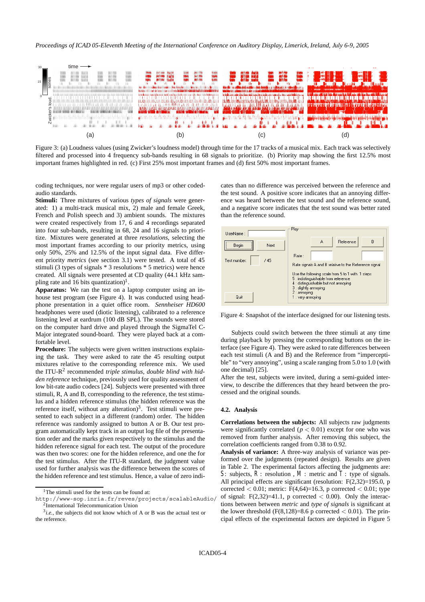

Figure 3: (a) Loudness values (using Zwicker's loudness model) through time for the 17 tracks of a musical mix. Each track was selectively filtered and processed into 4 frequency sub-bands resulting in 68 signals to prioritize. (b) Priority map showing the first 12.5% most important frames highlighted in red. (c) First 25% most important frames and (d) first 50% most important frames.

coding techniques, nor were regular users of mp3 or other codedaudio standards.

**Stimuli:** Three mixtures of various *types of signals* were generated: 1) a multi-track musical mix, 2) male and female Greek, French and Polish speech and 3) ambient sounds. The mixtures were created respectively from 17, 6 and 4 recordings separated into four sub-bands, resulting in 68, 24 and 16 signals to prioritize. Mixtures were generated at three *resolutions*, selecting the most important frames according to our priority metrics, using only 50%, 25% and 12.5% of the input signal data. Five different priority *metrics* (see section 3.1) were tested. A total of 45 stimuli (3 types of signals \* 3 resolutions \* 5 metrics) were hence created. All signals were presented at CD quality (44.1 kHz sampling rate and 16 bits quantization)<sup>1</sup>.

**Apparatus:** We ran the test on a laptop computer using an inhouse test program (see Figure 4). It was conducted using headphone presentation in a quiet office room. *Sennheiser HD600* headphones were used (diotic listening), calibrated to a reference listening level at eardrum (100 dB SPL). The sounds were stored on the computer hard drive and played through the SigmaTel C-Major integrated sound-board. They were played back at a comfortable level.

**Procedure:** The subjects were given written instructions explaining the task. They were asked to rate the 45 resulting output mixtures relative to the corresponding reference mix. We used the ITU-R<sup>2</sup> recommended *triple stimulus, double blind with hidden reference* technique, previously used for quality assessment of low bit-rate audio codecs [24]. Subjects were presented with three stimuli, R, A and B, corresponding to the reference, the test stimulus and a hidden reference stimulus (the hidden reference was the reference itself, without any alteration)<sup>3</sup>. Test stimuli were presented to each subject in a different (random) order. The hidden reference was randomly assigned to button A or B. Our test program automatically kept track in an output log file of the presentation order and the marks given respectively to the stimulus and the hidden reference signal for each test. The output of the procedure was then two scores: one for the hidden reference, and one the for the test stimulus. After the ITU-R standard, the judgment value used for further analysis was the difference between the scores of the hidden reference and test stimulus. Hence, a value of zero indicates than no difference was perceived between the reference and the test sound. A positive score indicates that an annoying difference was heard between the test sound and the reference sound, and a negative score indicates that the test sound was better rated than the reference sound.



Figure 4: Snapshot of the interface designed for our listening tests.

Subjects could switch between the three stimuli at any time during playback by pressing the corresponding buttons on the interface (see Figure 4). They were asked to rate differences between each test stimuli (A and B) and the Reference from "imperceptible" to "very annoying", using a scale ranging from 5.0 to 1.0 (with one decimal) [25].

After the test, subjects were invited, during a semi-guided interview, to describe the differences that they heard between the processed and the original sounds.

#### **4.2. Analysis**

**Correlations between the subjects:** All subjects raw judgments were significantly correlated ( $p < 0.01$ ) except for one who was removed from further analysis. After removing this subject, the correlation coefficients ranged from 0.38 to 0.92.

**Analysis of variance:** A three-way analysis of variance was performed over the judgments (repeated design). Results are given in Table 2. The experimental factors affecting the judgments are: *S*: subjects,  $R$ : resolution,  $M$ : metric and  $T$ : type of signals. All principal effects are significant (resolution: F(2,32)=195.0, p corrected  $< 0.01$ ; metric: F(4,64)=16.3, p corrected  $< 0.01$ ; type of signal:  $F(2,32)=41.1$ , p corrected  $< 0.00$ ). Only the interactions between between *metric* and *type of signals* is significant at the lower threshold  $(F(8,128)=8.6 \text{ p corrected} < 0.01)$ . The principal effects of the experimental factors are depicted in Figure 5

<sup>&</sup>lt;sup>1</sup>The stimuli used for the tests can be found at:

http://www-sop.inria.fr/reves/projects/scalableAudio/ 2International Telecommunication Union

<sup>3</sup>*i.e.,* the subjects did not know which of A or B was the actual test or the reference.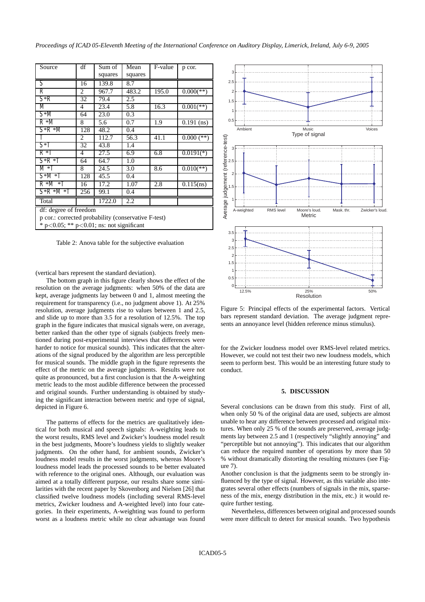*Proceedings of ICAD 05-Eleventh Meeting of the International Conference on Auditory Display, Limerick, Ireland, July 6-9, 2005*

| Source                                              | df  | Sum of  | Mean    | F-value | p cor.                    |  |  |  |
|-----------------------------------------------------|-----|---------|---------|---------|---------------------------|--|--|--|
|                                                     |     | squares | squares |         |                           |  |  |  |
| S                                                   | 16  | 139.8   | 8.7     |         |                           |  |  |  |
| R                                                   | 2   | 967.7   | 483.2   | 195.0   | $0.000$ <sup>(**)</sup>   |  |  |  |
| $S^*R$                                              | 32  | 79.4    | 2.5     |         |                           |  |  |  |
| M                                                   | 4   | 23.4    | 5.8     | 16.3    | $0.001$ <sup>(**)</sup> ) |  |  |  |
| $S^*M$                                              | 64  | 23.0    | 0.3     |         |                           |  |  |  |
| $R*M$                                               | 8   | 5.6     | 0.7     | 1.9     | $0.191$ (ns)              |  |  |  |
| $S^*R^*M$                                           | 128 | 48.2    | 0.4     |         |                           |  |  |  |
| T                                                   | 2   | 112.7   | 56.3    | 41.1    | $0.000$ (**)              |  |  |  |
| $S^*T$                                              | 32  | 43.8    | 1.4     |         |                           |  |  |  |
| $R*T$                                               | 4   | 27.5    | 6.9     | 6.8     | $0.0191(*)$               |  |  |  |
| $S^*R^*T$                                           | 64  | 64.7    | 1.0     |         |                           |  |  |  |
| $M^*T$                                              | 8   | 24.5    | 3.0     | 8.6     | $0.010$ <sup>(**)</sup>   |  |  |  |
| $S^*M^*T$                                           | 128 | 45.5    | 0.4     |         |                           |  |  |  |
| $R*M*T$                                             | 16  | 17.2    | 1.07    | 2.8     | $0.115$ (ns)              |  |  |  |
| $S^*R^*M^*T$                                        | 256 | 99.1    | 0.4     |         |                           |  |  |  |
| Total                                               |     | 1722.0  | 2.2     |         |                           |  |  |  |
| df: degree of freedom                               |     |         |         |         |                           |  |  |  |
| p cor.: corrected probability (conservative F-test) |     |         |         |         |                           |  |  |  |
| * $p<0.05$ ; ** $p<0.01$ ; ns: not significant      |     |         |         |         |                           |  |  |  |

Table 2: Anova table for the subjective evaluation

(vertical bars represent the standard deviation).

The bottom graph in this figure clearly shows the effect of the resolution on the average judgments: when 50% of the data are kept, average judgments lay between 0 and 1, almost meeting the requirement for transparency (i.e., no judgment above 1). At 25% resolution, average judgments rise to values between 1 and 2.5, and slide up to more than 3.5 for a resolution of 12.5%. The top graph in the figure indicates that musical signals were, on average, better ranked than the other type of signals (subjects freely mentioned during post-experimental interviews that differences were harder to notice for musical sounds). This indicates that the alterations of the signal produced by the algorithm are less perceptible for musical sounds. The middle graph in the figure represents the effect of the metric on the average judgments. Results were not quite as pronounced, but a first conclusion is that the A-weighting metric leads to the most audible difference between the processed and original sounds. Further understanding is obtained by studying the significant interaction between metric and type of signal, depicted in Figure 6.

The patterns of effects for the metrics are qualitatively identical for both musical and speech signals: A-weighting leads to the worst results, RMS level and Zwicker's loudness model result in the best judgments, Moore's loudness yields to slightly weaker judgments. On the other hand, for ambient sounds, Zwicker's loudness model results in the worst judgments, whereas Moore's loudness model leads the processed sounds to be better evaluated with reference to the original ones. Although, our evaluation was aimed at a totally different purpose, our results share some similarities with the recent paper by Skovenborg and Nielsen [26] that classified twelve loudness models (including several RMS-level metrics, Zwicker loudness and A-weighted level) into four categories. In their experiments, A-weighting was found to perform worst as a loudness metric while no clear advantage was found



Figure 5: Principal effects of the experimental factors. Vertical bars represent standard deviation. The average judgment represents an annoyance level (hidden reference minus stimulus).

for the Zwicker loudness model over RMS-level related metrics. However, we could not test their two new loudness models, which seem to perform best. This would be an interesting future study to conduct.

### **5. DISCUSSION**

Several conclusions can be drawn from this study. First of all, when only 50 % of the original data are used, subjects are almost unable to hear any difference between processed and original mixtures. When only 25 % of the sounds are preserved, average judgments lay between 2.5 and 1 (respectively "slightly annoying" and "perceptible but not annoying"). This indicates that our algorithm can reduce the required number of operations by more than 50 % without dramatically distorting the resulting mixtures (see Figure 7).

Another conclusion is that the judgments seem to be strongly influenced by the type of signal. However, as this variable also integrates several other effects (numbers of signals in the mix, sparseness of the mix, energy distribution in the mix, etc.) it would require further testing.

Nevertheless, differences between original and processed sounds were more difficult to detect for musical sounds. Two hypothesis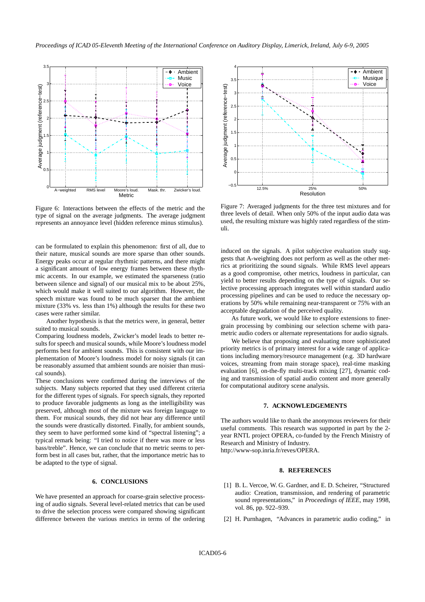

Figure 6: Interactions between the effects of the metric and the type of signal on the average judgments. The average judgment represents an annoyance level (hidden reference minus stimulus).

can be formulated to explain this phenomenon: first of all, due to their nature, musical sounds are more sparse than other sounds. Energy peaks occur at regular rhythmic patterns, and there might a significant amount of low energy frames between these rhythmic accents. In our example, we estimated the sparseness (ratio between silence and signal) of our musical mix to be about 25%, which would make it well suited to our algorithm. However, the speech mixture was found to be much sparser that the ambient mixture (33% vs. less than 1%) although the results for these two cases were rather similar.

Another hypothesis is that the metrics were, in general, better suited to musical sounds.

Comparing loudness models, Zwicker's model leads to better results for speech and musical sounds, while Moore's loudness model performs best for ambient sounds. This is consistent with our implementation of Moore's loudness model for noisy signals (it can be reasonably assumed that ambient sounds are noisier than musical sounds).

These conclusions were confirmed during the interviews of the subjects. Many subjects reported that they used different criteria for the different types of signals. For speech signals, they reported to produce favorable judgments as long as the intelligibility was preserved, although most of the mixture was foreign language to them. For musical sounds, they did not hear any difference until the sounds were drastically distorted. Finally, for ambient sounds, they seem to have performed some kind of "spectral listening"; a typical remark being: "I tried to notice if there was more or less bass/treble". Hence, we can conclude that no metric seems to perform best in all cases but, rather, that the importance metric has to be adapted to the type of signal.

## **6. CONCLUSIONS**

We have presented an approach for coarse-grain selective processing of audio signals. Several level-related metrics that can be used to drive the selection process were compared showing significant difference between the various metrics in terms of the ordering



Figure 7: Averaged judgments for the three test mixtures and for three levels of detail. When only 50% of the input audio data was used, the resulting mixture was highly rated regardless of the stimuli.

induced on the signals. A pilot subjective evaluation study suggests that A-weighting does not perform as well as the other metrics at prioritizing the sound signals. While RMS level appears as a good compromise, other metrics, loudness in particular, can yield to better results depending on the type of signals. Our selective processing approach integrates well within standard audio processing pipelines and can be used to reduce the necessary operations by 50% while remaining near-transparent or 75% with an acceptable degradation of the perceived quality.

As future work, we would like to explore extensions to finergrain processing by combining our selection scheme with parametric audio coders or alternate representations for audio signals.

We believe that proposing and evaluating more sophisticated priority metrics is of primary interest for a wide range of applications including memory/resource management (e.g. 3D hardware voices, streaming from main storage space), real-time masking evaluation [6], on-the-fly multi-track mixing [27], dynamic coding and transmission of spatial audio content and more generally for computational auditory scene analysis.

### **7. ACKNOWLEDGEMENTS**

The authors would like to thank the anonymous reviewers for their useful comments. This research was supported in part by the 2 year RNTL project OPERA, co-funded by the French Ministry of Research and Ministry of Industry. http://www-sop.inria.fr/reves/OPERA.

### **8. REFERENCES**

- [1] B. L. Vercoe, W. G. Gardner, and E. D. Scheirer, "Structured audio: Creation, transmission, and rendering of parametric sound representations," in *Proceedings of IEEE*, may 1998, vol. 86, pp. 922–939.
- [2] H. Purnhagen, "Advances in parametric audio coding," in